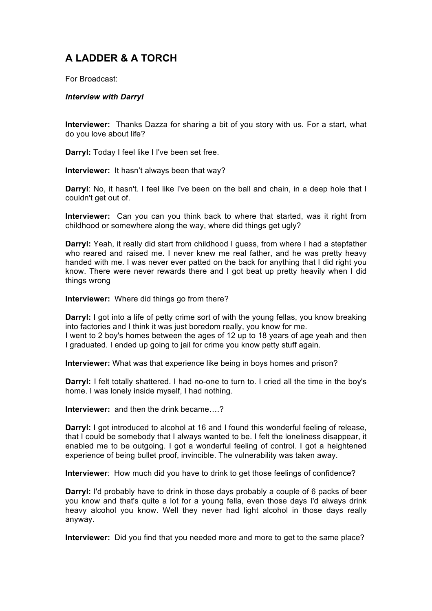## **A LADDER & A TORCH**

For Broadcast:

## *Interview with Darryl*

**Interviewer:** Thanks Dazza for sharing a bit of you story with us. For a start, what do you love about life?

**Darryl:** Today I feel like I I've been set free.

**Interviewer:** It hasn't always been that way?

**Darryl**: No, it hasn't. I feel like I've been on the ball and chain, in a deep hole that I couldn't get out of.

**Interviewer:** Can you can you think back to where that started, was it right from childhood or somewhere along the way, where did things get ugly?

**Darryl:** Yeah, it really did start from childhood I guess, from where I had a stepfather who reared and raised me. I never knew me real father, and he was pretty heavy handed with me. I was never ever patted on the back for anything that I did right you know. There were never rewards there and I got beat up pretty heavily when I did things wrong

**Interviewer:** Where did things go from there?

**Darryl:** I got into a life of petty crime sort of with the young fellas, you know breaking into factories and I think it was just boredom really, you know for me.

I went to 2 boy's homes between the ages of 12 up to 18 years of age yeah and then I graduated. I ended up going to jail for crime you know petty stuff again.

**Interviewer:** What was that experience like being in boys homes and prison?

**Darryl:** I felt totally shattered. I had no-one to turn to. I cried all the time in the boy's home. I was lonely inside myself, I had nothing.

**Interviewer:** and then the drink became….?

**Darryl:** I got introduced to alcohol at 16 and I found this wonderful feeling of release, that I could be somebody that I always wanted to be. I felt the loneliness disappear, it enabled me to be outgoing. I got a wonderful feeling of control. I got a heightened experience of being bullet proof, invincible. The vulnerability was taken away.

**Interviewer**: How much did you have to drink to get those feelings of confidence?

**Darryl:** I'd probably have to drink in those days probably a couple of 6 packs of beer you know and that's quite a lot for a young fella, even those days I'd always drink heavy alcohol you know. Well they never had light alcohol in those days really anyway.

**Interviewer:** Did you find that you needed more and more to get to the same place?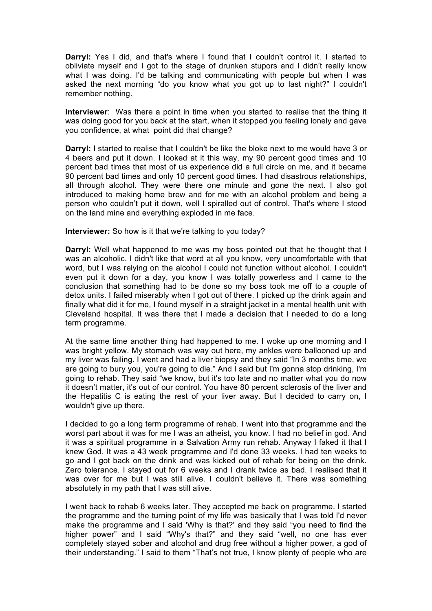**Darryl:** Yes I did, and that's where I found that I couldn't control it. I started to obliviate myself and I got to the stage of drunken stupors and I didn't really know what I was doing. I'd be talking and communicating with people but when I was asked the next morning "do you know what you got up to last night?" I couldn't remember nothing.

**Interviewer**: Was there a point in time when you started to realise that the thing it was doing good for you back at the start, when it stopped you feeling lonely and gave you confidence, at what point did that change?

**Darryl:** I started to realise that I couldn't be like the bloke next to me would have 3 or 4 beers and put it down. I looked at it this way, my 90 percent good times and 10 percent bad times that most of us experience did a full circle on me, and it became 90 percent bad times and only 10 percent good times. I had disastrous relationships, all through alcohol. They were there one minute and gone the next. I also got introduced to making home brew and for me with an alcohol problem and being a person who couldn't put it down, well I spiralled out of control. That's where I stood on the land mine and everything exploded in me face.

**Interviewer:** So how is it that we're talking to you today?

**Darryl:** Well what happened to me was my boss pointed out that he thought that I was an alcoholic. I didn't like that word at all you know, very uncomfortable with that word, but I was relying on the alcohol I could not function without alcohol. I couldn't even put it down for a day, you know I was totally powerless and I came to the conclusion that something had to be done so my boss took me off to a couple of detox units. I failed miserably when I got out of there. I picked up the drink again and finally what did it for me, I found myself in a straight jacket in a mental health unit with Cleveland hospital. It was there that I made a decision that I needed to do a long term programme.

At the same time another thing had happened to me. I woke up one morning and I was bright yellow. My stomach was way out here, my ankles were ballooned up and my liver was failing. I went and had a liver biopsy and they said "In 3 months time, we are going to bury you, you're going to die." And I said but I'm gonna stop drinking, I'm going to rehab. They said "we know, but it's too late and no matter what you do now it doesn't matter, it's out of our control. You have 80 percent sclerosis of the liver and the Hepatitis C is eating the rest of your liver away. But I decided to carry on, I wouldn't give up there.

I decided to go a long term programme of rehab. I went into that programme and the worst part about it was for me I was an atheist, you know. I had no belief in god. And it was a spiritual programme in a Salvation Army run rehab. Anyway I faked it that I knew God. It was a 43 week programme and I'd done 33 weeks. I had ten weeks to go and I got back on the drink and was kicked out of rehab for being on the drink. Zero tolerance. I stayed out for 6 weeks and I drank twice as bad. I realised that it was over for me but I was still alive. I couldn't believe it. There was something absolutely in my path that I was still alive.

I went back to rehab 6 weeks later. They accepted me back on programme. I started the programme and the turning point of my life was basically that I was told I'd never make the programme and I said 'Why is that?' and they said "you need to find the higher power" and I said "Why's that?" and they said "well, no one has ever completely stayed sober and alcohol and drug free without a higher power, a god of their understanding." I said to them "That's not true, I know plenty of people who are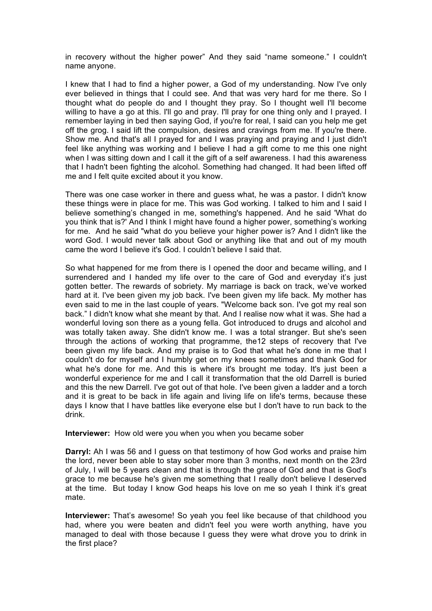in recovery without the higher power" And they said "name someone." I couldn't name anyone.

I knew that I had to find a higher power, a God of my understanding. Now I've only ever believed in things that I could see. And that was very hard for me there. So I thought what do people do and I thought they pray. So I thought well I'll become willing to have a go at this. I'll go and pray. I'll pray for one thing only and I prayed. I remember laying in bed then saying God, if you're for real, I said can you help me get off the grog. I said lift the compulsion, desires and cravings from me. If you're there. Show me. And that's all I prayed for and I was praying and praying and I just didn't feel like anything was working and I believe I had a gift come to me this one night when I was sitting down and I call it the gift of a self awareness. I had this awareness that I hadn't been fighting the alcohol. Something had changed. It had been lifted off me and I felt quite excited about it you know.

There was one case worker in there and guess what, he was a pastor. I didn't know these things were in place for me. This was God working. I talked to him and I said I believe something's changed in me, something's happened. And he said 'What do you think that is?' And I think I might have found a higher power, something's working for me. And he said "what do you believe your higher power is? And I didn't like the word God. I would never talk about God or anything like that and out of my mouth came the word I believe it's God. I couldn't believe I said that.

So what happened for me from there is I opened the door and became willing, and I surrendered and I handed my life over to the care of God and everyday it's just gotten better. The rewards of sobriety. My marriage is back on track, we've worked hard at it. I've been given my job back. I've been given my life back. My mother has even said to me in the last couple of years. "Welcome back son. I've got my real son back." I didn't know what she meant by that. And I realise now what it was. She had a wonderful loving son there as a young fella. Got introduced to drugs and alcohol and was totally taken away. She didn't know me. I was a total stranger. But she's seen through the actions of working that programme, the12 steps of recovery that I've been given my life back. And my praise is to God that what he's done in me that I couldn't do for myself and I humbly get on my knees sometimes and thank God for what he's done for me. And this is where it's brought me today. It's just been a wonderful experience for me and I call it transformation that the old Darrell is buried and this the new Darrell. I've got out of that hole. I've been given a ladder and a torch and it is great to be back in life again and living life on life's terms, because these days I know that I have battles like everyone else but I don't have to run back to the drink.

**Interviewer:** How old were you when you when you became sober

**Darryl:** Ah I was 56 and I guess on that testimony of how God works and praise him the lord, never been able to stay sober more than 3 months, next month on the 23rd of July, I will be 5 years clean and that is through the grace of God and that is God's grace to me because he's given me something that I really don't believe I deserved at the time. But today I know God heaps his love on me so yeah I think it's great mate.

**Interviewer:** That's awesome! So yeah you feel like because of that childhood you had, where you were beaten and didn't feel you were worth anything, have you managed to deal with those because I guess they were what drove you to drink in the first place?